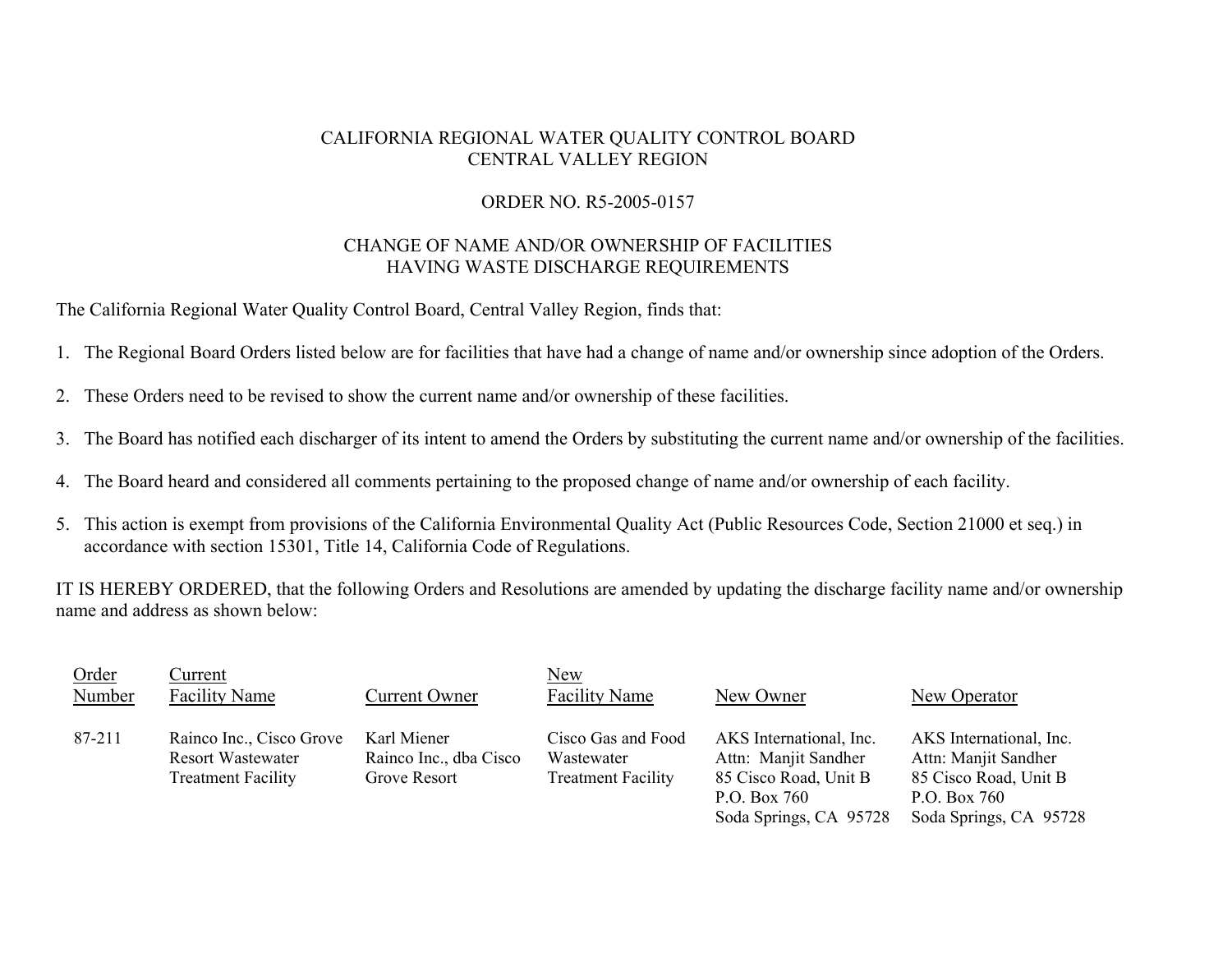## CALIFORNIA REGIONAL WATER QUALITY CONTROL BOARD CENTRAL VALLEY REGION

## ORDER NO. R5-2005-0157

## CHANGE OF NAME AND/OR OWNERSHIP OF FACILITIES HAVING WASTE DISCHARGE REQUIREMENTS

The California Regional Water Quality Control Board, Central Valley Region, finds that:

- 1. The Regional Board Orders listed below are for facilities that have had a change of name and/or ownership since adoption of the Orders.
- 2. These Orders need to be revised to show the current name and/or ownership of these facilities.
- 3. The Board has notified each discharger of its intent to amend the Orders by substituting the current name and/or ownership of the facilities.
- 4. The Board heard and considered all comments pertaining to the proposed change of name and/or ownership of each facility.
- 5. This action is exempt from provisions of the California Environmental Quality Act (Public Resources Code, Section 21000 et seq.) in accordance with section 15301, Title 14, California Code of Regulations.

IT IS HEREBY ORDERED, that the following Orders and Resolutions are amended by updating the discharge facility name and/or ownership name and address as shown below:

| Order<br>Number | Current<br><b>Facility Name</b>                                                   | Current Owner                                         | <b>New</b><br><b>Facility Name</b>                            | New Owner                                                                                                          | <b>New Operator</b>                                                                                                |
|-----------------|-----------------------------------------------------------------------------------|-------------------------------------------------------|---------------------------------------------------------------|--------------------------------------------------------------------------------------------------------------------|--------------------------------------------------------------------------------------------------------------------|
| 87-211          | Rainco Inc., Cisco Grove<br><b>Resort Wastewater</b><br><b>Treatment Facility</b> | Karl Miener<br>Rainco Inc., dba Cisco<br>Grove Resort | Cisco Gas and Food<br>Wastewater<br><b>Treatment Facility</b> | AKS International, Inc.<br>Attn: Manjit Sandher<br>85 Cisco Road, Unit B<br>P.O. Box 760<br>Soda Springs, CA 95728 | AKS International, Inc.<br>Attn: Manjit Sandher<br>85 Cisco Road, Unit B<br>P.O. Box 760<br>Soda Springs, CA 95728 |